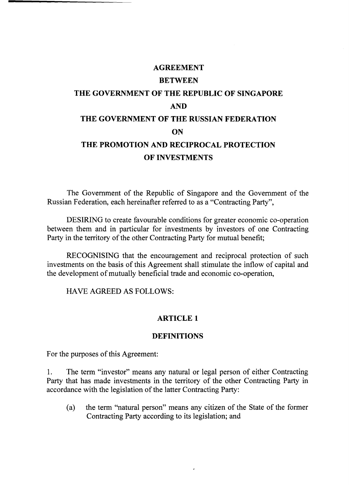# **AGREEMENT BETWEEN THE GOVERNMENT OF THE REPUBLIC OF SINGAPORE AND THE GOVERNMENT OF THE RUSSIAN FEDERATION ON THE PROMOTION AND RECIPROCAL PROTECTION OF INVESTMENTS**

The Government of the Republic of Singapore and the Government of the Russian Federation, each hereinafter referred to as a "Contracting Party",

DESIRING to create favourable conditions for greater economic co-operation between them and in particular for investments by investors of one Contracting Party in the territory of the other Contracting Party for mutual benefit;

RECOGNISING that the encouragement and reciprocal protection of such investments on the basis of this Agreement shall stimulate the inflow of capital and the development of mutually beneficial trade and economic co-operation,

HAVE AGREED AS FOLLOWS:

# **ARTICLE 1**

# **DEFINITIONS**

For the purposes of this Agreement:

1. The term "investor" means any natural or legal person of either Contracting Party that has made investments in the territory of the other Contracting Party in accordance with the legislation of the latter Contracting Party:

(a) the term "natural person" means any citizen of the State of the former Contracting Party according to its legislation; and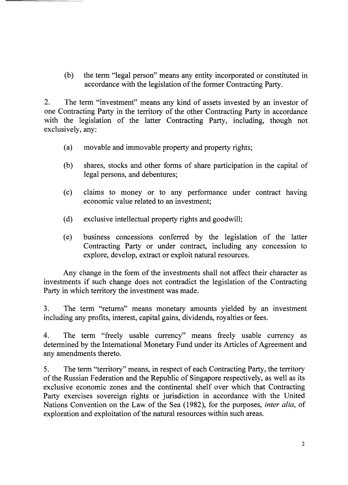(b) the term "legal person" means any entity incorporated or constituted in accordance with the legislation of the former Contracting Party.

2. The term "investment" means any kind of assets invested by an investor of one Contracting Party in the territory of the other Contracting Party in accordance with the legislation of the latter Contracting Party, including, though not exclusively, any:

- (a) movable and immovable property and property rights;
- (b) shares, stocks and other forms of share participation in the capital of legal persons, and debentures;
- (c) claims to money or to any performance under contract having economic value related to an investment;
- (d) exclusive intellectual property rights and goodwill;
- (e) business concessions conferred by the legislation of the latter Contracting Party or under contract, including any concession to explore, develop, extract or exploit natural resources.

Any change in the form of the investments shall not affect their character as investments if such change does not contradict the legislation of the Contracting Party in which territory the investment was made.

3. The term "returns" means monetary amounts yielded by an investment including any profits, interest, capital gains, dividends, royalties or fees.

4. The term "freely usable currency" means freely usable currency as determined by the International Monetary Fund under its Articles of Agreement and any amendments thereto.

5. The term "territory" means, in respect of each Contracting Party, the territory of the Russian Federation and the Republic of Singapore respectively, as well as its exclusive economic zones and the continental shelf over which that Contracting Party exercises sovereign rights or jurisdiction in accordance with the United Nations Convention on the Law of the Sea (1982), for the purposes, *inter alia,* of exploration and exploitation of the natural resources within such areas.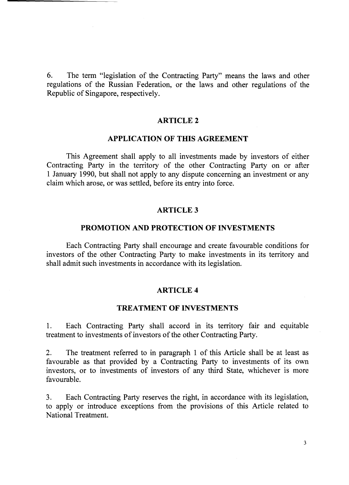6. The term "legislation of the Contracting Party" means the laws and other regulations of the Russian Federation, or the laws and other regulations of the Republic of Singapore, respectively.

## **ARTICLE 2**

## **APPLICATION OF THIS AGREEMENT**

This Agreement shall apply to all investments made by investors of either Contracting Party in the territory of the other Contracting Party on or after 1 January 1990, but shall not apply to any dispute concerning an investment or any claim which arose, or was settled, before its entry into force.

#### **ARTICLE3**

#### **PROMOTION AND PROTECTION OF INVESTMENTS**

Each Contracting Party shall encourage and create favourable conditions for investors of the other Contracting Party to make investments in its territory and shall admit such investments in accordance with its legislation.

#### **ARTICLE 4**

#### **TREATMENT OF INVESTMENTS**

1. Each Contracting Party shall accord in its territory fair and equitable treatment to investments of investors of the other Contracting Party.

2. The treatment referred to in paragraph 1 of this Article shall be at least as favourable as that provided by a Contracting Party to investments of its own investors, or to investments of investors of any third State, whichever is more favourable.

3. Each Contracting Party reserves the right, in accordance with its legislation, to apply or introduce exceptions from the provisions of this Article related to National Treatment.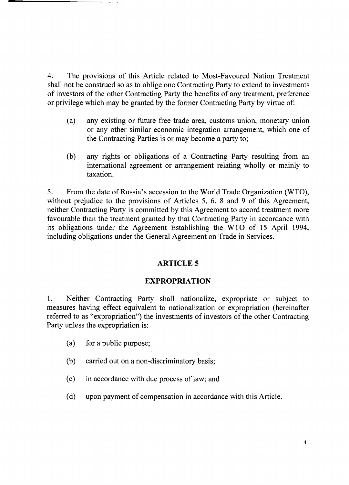4. The provisions of this Article related to Most-Favoured Nation Treatment shall not be construed so as to oblige one Contracting Party to extend to investments of investors of the other Contracting Party the benefits of any treatment, preference or privilege which may be granted by the former Contracting Party by virtue of:

- (a) any existing or future free trade area, customs union, monetary union or any other similar economic integration arrangement, which one of the Contracting Parties is or may become a party to;
- (b) any rights or obligations of a Contracting Party resulting from an international agreement or arrangement relating wholly or mainly to taxation.

5. From the date of Russia's accession to the World Trade Organization (WTO), without prejudice to the provisions of Articles 5, 6, 8 and 9 of this Agreement, neither Contracting Party is committed by this Agreement to accord treatment more favourable than the treatment granted by that Contracting Party in accordance with its obligations under the Agreement Establishing the WTO of 15 April 1994, including obligations under the General Agreement on Trade in Services.

# **ARTICLE 5**

# **EXPROPRIATION**

1. Neither Contracting Party shall nationalize, expropriate or subject to measures having effect equivalent to nationalization or expropriation (hereinafter referred to as "expropriation") the investments of investors of the other Contracting Party unless the expropriation is:

- (a) for a public purpose;
- (b) carried out on a non-discriminatory basis;
- (c) in accordance with due process of law; and
- (d) upon payment of compensation in accordance with this Article.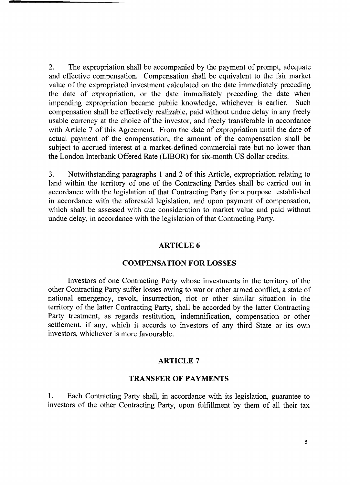2. The expropriation shall be accompanied by the payment of prompt, adequate and effective compensation. Compensation shall be equivalent to the fair market value of the expropriated investment calculated on the date immediately preceding the date of expropriation, or the date immediately preceding the date when impending expropriation became public knowledge, whichever is earlier. Such compensation shall be effectively realizable, paid without undue delay in any freely usable currency at the choice of the investor, and freely transferable in accordance with Article 7 of this Agreement. From the date of expropriation until the date of actual payment of the compensation, the amount of the compensation shall be subject to accrued interest at a market-defined commercial rate but no lower than the London Interbank Offered Rate (LIBOR) for six-month US dollar credits.

3. Notwithstanding paragraphs 1 and 2 of this Article, expropriation relating to land within the territory of one of the Contracting Parties shall be carried out in accordance with the legislation of that Contracting Party for a purpose established in accordance with the aforesaid legislation, and upon payment of compensation, which shall be assessed with due consideration to market value and paid without undue delay, in accordance with the legislation of that Contracting Party.

# **ARTICLE 6**

# **COMPENSATION FOR LOSSES**

Investors of one Contracting Party whose investments in the territory of the other Contracting Party suffer losses owing to war or other armed conflict, a state of national emergency, revolt, insurrection, riot or other similar situation in the territory of the latter Contracting Party, shall be accorded by the latter Contracting Party treatment, as regards restitution, indemnification, compensation or other settlement, if any, which it accords to investors of any third State or its own investors, whichever is more favourable.

# **ARTICLE 7**

#### **TRANSFER OF PAYMENTS**

1. Each Contracting Party shall, in accordance with its legislation, guarantee to investors of the other Contracting Party, upon fulfillment by them of all their tax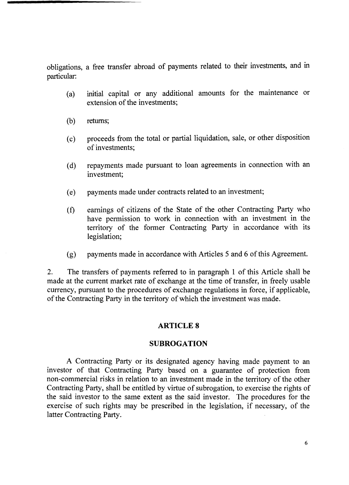obligations, a free transfer abroad of payments related to their investments, and in particular:

- (a) initial capital or any additional amounts for the maintenance or extension of the investments;
- (b) returns;
- (c) proceeds from the total or partial liquidation, sale, or other disposition of investments;
- (d) repayments made pursuant to loan agreements in connection with an investment;
- (e) payments made under contracts related to an investment;
- (f) earnings of citizens of the State of the other Contracting Party who have permission to work in connection with an investment in the territory of the former Contracting Party in accordance with its legislation;
- (g) payments made in accordance with Articles 5 and 6 of this Agreement.

2. The transfers of payments referred to in paragraph 1 of this Article shall be made at the current market rate of exchange at the time of transfer, in freely usable currency, pursuant to the procedures of exchange regulations in force, if applicable, of the Contracting Party in the territory of which the investment was made.

# **ARTICLE 8**

# **SUBROGATION**

A Contracting Party or its designated agency having made payment to an investor of that Contracting Party based on a guarantee of protection from non-commercial risks in relation to an investment made in the territory of the other Contracting Party, shall be entitled by virtue of subrogation, to exercise the rights of the said investor to the same extent as the said investor. The procedures for the exercise of such rights may be prescribed in the legislation, if necessary, of the latter Contracting Party.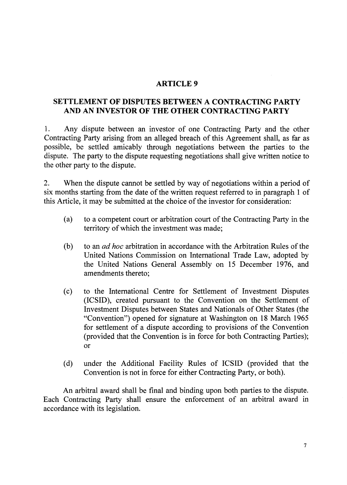# **ARTICLE 9**

# **SETTLEMENT OF DISPUTES BETWEEN A CONTRACTING PARTY AND AN INVESTOR OF THE OTHER CONTRACTING PARTY**

1. Any dispute between an investor of one Contracting Party and the other Contracting Party arising from an alleged breach of this Agreement shall, as far as possible, be settled amicably through negotiations between the parties to the dispute. The party to the dispute requesting negotiations shall give written notice to the other party to the dispute.

2. When the dispute cannot be settled by way of negotiations within a period of six months starting from the date of the written request referred to in paragraph 1 of this Article, it may be submitted at the choice of the investor for consideration:

- (a) to a competent court or arbitration court of the Contracting Party in the territory of which the investment was made;
- (b) to an *ad hoc* arbitration in accordance with the Arbitration Rules of the United Nations Commission on International Trade Law, adopted by the United Nations General Assembly on 15 December 1976, and amendments thereto;
- (c) to the International Centre for Settlement of Investment Disputes (ICSID), created pursuant to the Convention on the Settlement of Investment Disputes between States and Nationals of Other States (the "Convention") opened for signature at Washington on 18 March 1965 for settlement of a dispute according to provisions of the Convention (provided that the Convention is in force for both Contracting Parties); or
- (d) under the Additional Facility Rules of ICSID (provided that the Convention is not in force for either Contracting Party, or both).

An arbitral award shall be final and binding upon both parties to the dispute. Each Contracting Party shall ensure the enforcement of an arbitral award in accordance with its legislation.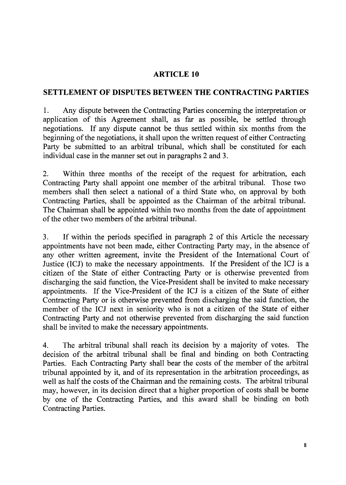# **ARTICLE 10**

# **SETTLEMENT OF DISPUTES BETWEEN THE CONTRACTING PARTIES**

1. Any dispute between the Contracting Parties concerning the interpretation or application of this Agreement shall, as far as possible, be settled through negotiations. If any dispute cannot be thus settled within six months from the beginning of the negotiations, it shall upon the written request of either Contracting Party be submitted to an arbitral tribunal, which shall be constituted for each individual case in the manner set out in paragraphs 2 and 3.

2. Within three months of the receipt of the request for arbitration, each Contracting Party shall appoint one member of the arbitral tribunal. Those two members shall then select a national of a third State who, on approval by both Contracting Parties, shall be appointed as the Chairman of the arbitral tribunal. The Chairman shall be appointed within two months from the date of appointment of the other two members of the arbitral tribunal.

3. If within the periods specified in paragraph 2 of this Article the necessary appointments have not been made, either Contracting Party may, in the absence of any other written agreement, invite the President of the International Court of Justice (ICJ) to make the necessary appointments. If the President of the ICJ is a citizen of the State of either Contracting Party or is otherwise prevented from discharging the said function, the Vice-President shall be invited to make necessary appointments. If the Vice-President of the ICJ is a citizen of the State of either Contracting Party or is otherwise prevented from discharging the said function, the member of the ICJ next in seniority who is not a citizen of the State of either Contracting Party and not otherwise prevented from discharging the said function shall be invited to make the necessary appointments.

4. The arbitral tribunal shall reach its decision by a majority of votes. The decision of the arbitral tribunal shall be final and binding on both Contracting Parties. Each Contracting Party shall bear the costs of the member of the arbitral tribunal appointed by it, and of its representation in the arbitration proceedings, as well as half the costs of the Chairman and the remaining costs. The arbitral tribunal may, however, in its decision direct that a higher proportion of costs shall be borne by one of the Contracting Parties, and this award shall be binding on both Contracting Parties.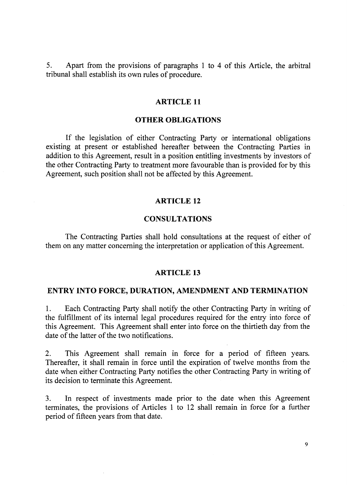5. Apart from the provisions of paragraphs 1 to 4 of this Article, the arbitral tribunal shall establish its own rules of procedure.

## **ARTICLE 11**

## **OTHER OBLIGATIONS**

If the legislation of either Contracting Party or international obligations existing at present or established hereafter between the Contracting Parties in addition to this Agreement, result in a position entitling investments by investors of the other Contracting Party to treatment more favourable than is provided for by this Agreement, such position shall not be affected by this Agreement.

#### **ARTICLE 12**

## **CONSULTATIONS**

The Contracting Parties shall hold consultations at the request of either of them on any matter concerning the interpretation or application of this Agreement.

#### **ARTICLE 13**

# **ENTRY INTO FORCE, DURATION, AMENDMENT AND TERMINATION**

1. Each Contracting Party shall notify the other Contracting Party in writing of the fulfillment of its internal legal procedures required for the entry into force of this Agreement. This Agreement shall enter into force on the thirtieth day from the date of the latter of the two notifications.

2. This Agreement shall remain in force for a period of fifteen years. Thereafter, it shall remain in force until the expiration of twelve months from the date when either Contracting Party notifies the other Contracting Party in writing of its decision to terminate this Agreement.

3. In respect of investments made prior to the date when this Agreement terminates, the provisions of Articles 1 to 12 shall remain in force for a further period of fifteen years from that date.